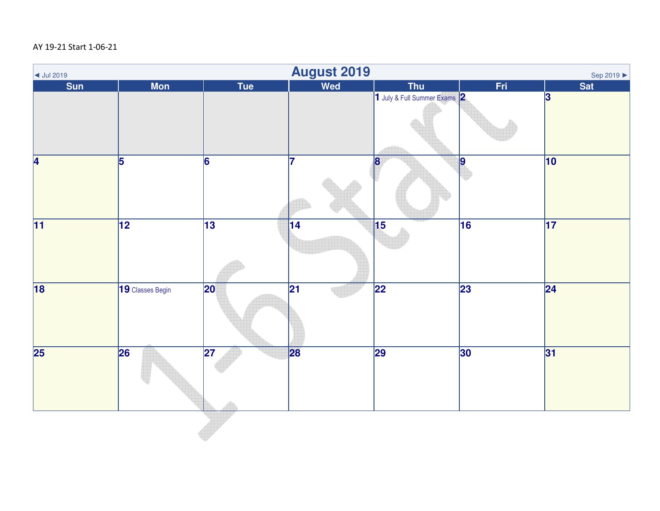## AY 19-21 Start 1-06-21

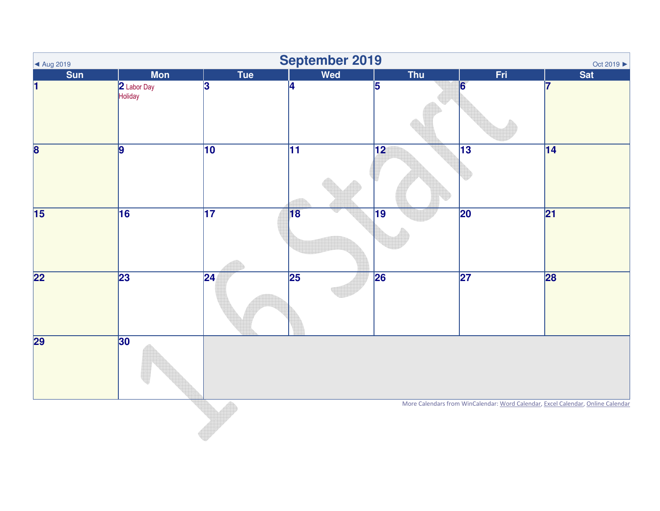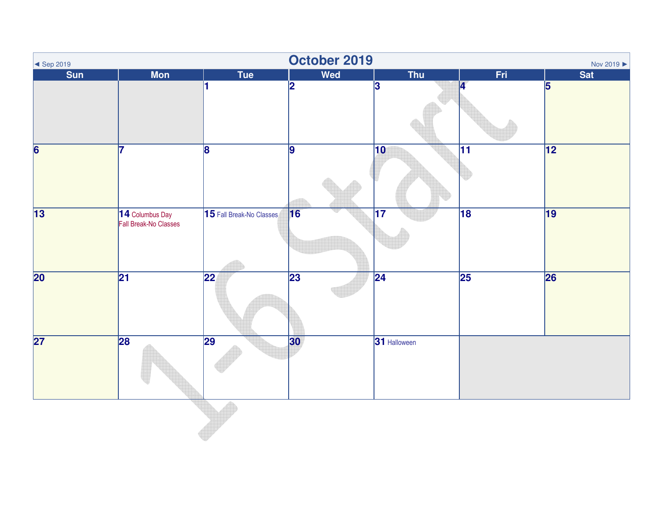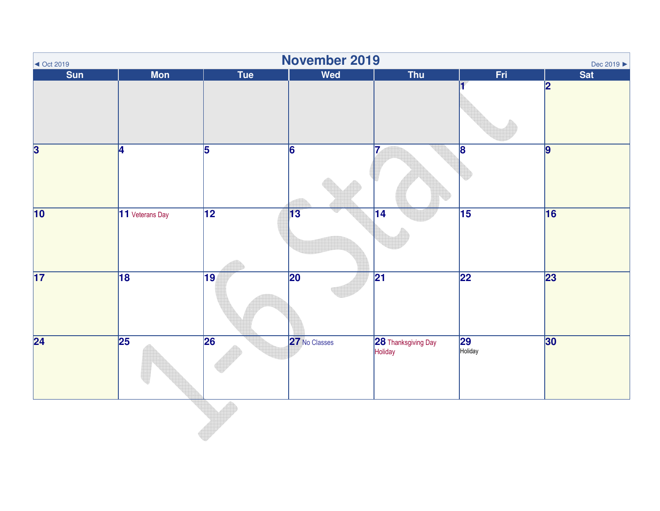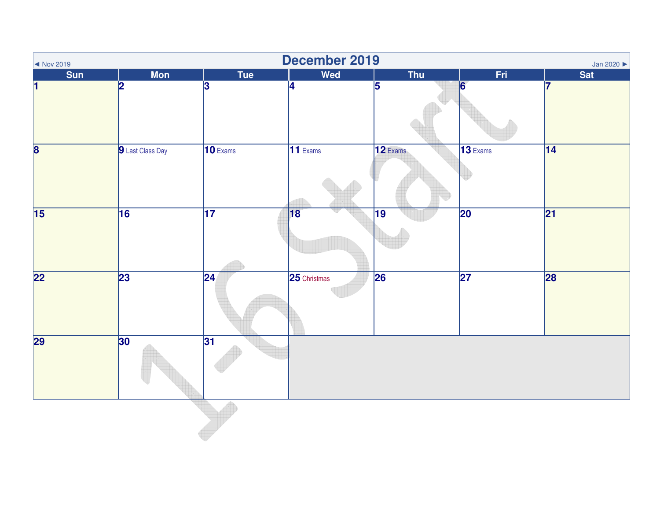| $\sim$ Nov 2019         |                  |                       | December 2019         |                 |                 | Jan 2020        |
|-------------------------|------------------|-----------------------|-----------------------|-----------------|-----------------|-----------------|
| <b>Sun</b>              | <b>Mon</b>       | <b>Tue</b>            | Wed                   | <b>Thu</b>      | Fri             | <b>Sat</b>      |
| н                       | 2                | 3                     | $\overline{4}$        | $\overline{5}$  | 6               | 7               |
| $\overline{\mathbf{8}}$ | 9 Last Class Day | $\overline{10}$ Exams | $\overline{11}$ Exams | 12 Exams        | $13$ Exams      | 14              |
| $\overline{15}$         | 16               | $\overline{17}$       | 18                    | $\overline{19}$ | $\overline{20}$ | $\overline{21}$ |
| $\overline{22}$         | 23               | $\overline{24}$       | 25 Christmas          | $\overline{26}$ | $\overline{27}$ | 28              |
| 29                      | 30               | 31                    |                       |                 |                 |                 |
|                         |                  |                       |                       |                 |                 |                 |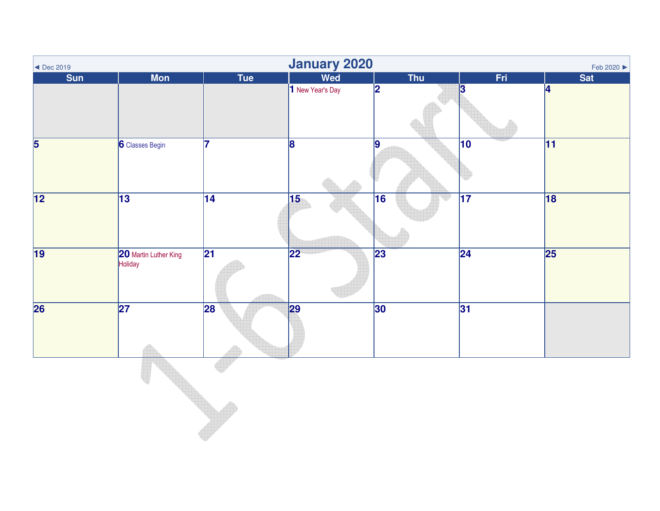| $\blacktriangleleft$ Dec 2019 |                                  |                 | January 2020            |                 |                 | Feb 2020 ▶      |
|-------------------------------|----------------------------------|-----------------|-------------------------|-----------------|-----------------|-----------------|
| <b>Sun</b>                    | <b>Mon</b>                       | Tue             | Wed                     | Thu             | Fri             | <b>Sat</b>      |
|                               |                                  |                 | 1 New Year's Day        | 2               | 3               | 4               |
| $\overline{5}$                | <b>6</b> Classes Begin           | 17              | $\overline{\mathbf{8}}$ | $\overline{9}$  | $\overline{10}$ | $\overline{11}$ |
| $\overline{12}$               | $\overline{13}$                  | $\overline{14}$ | 15                      | $\overline{16}$ | $\overline{17}$ | 18              |
| 19                            | 20 Martin Luther King<br>Holiday | $\overline{21}$ | $\overline{22}$         | $\overline{23}$ | $\overline{24}$ | $\overline{25}$ |
| $\overline{26}$               | $\overline{27}$                  | 28              | 29                      | 30              | 31              |                 |
|                               |                                  |                 |                         |                 |                 |                 |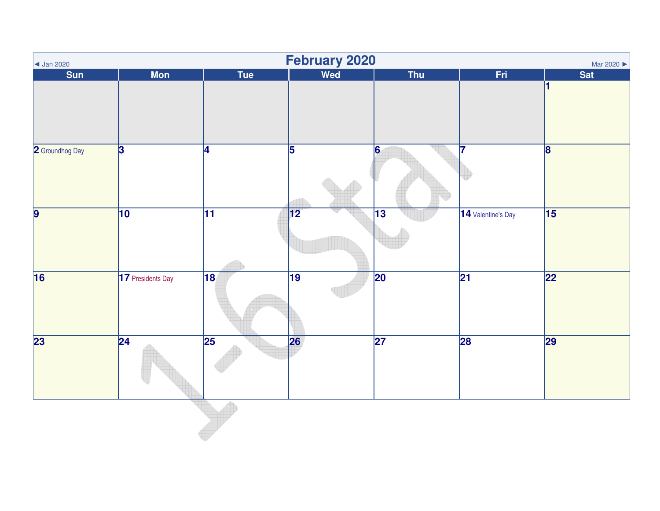| <b>Sat</b>              |
|-------------------------|
| K                       |
|                         |
|                         |
|                         |
| $\overline{\mathbf{8}}$ |
|                         |
|                         |
| $\overline{15}$         |
|                         |
|                         |
| 22                      |
|                         |
|                         |
|                         |
| 29                      |
|                         |
|                         |
|                         |
|                         |
|                         |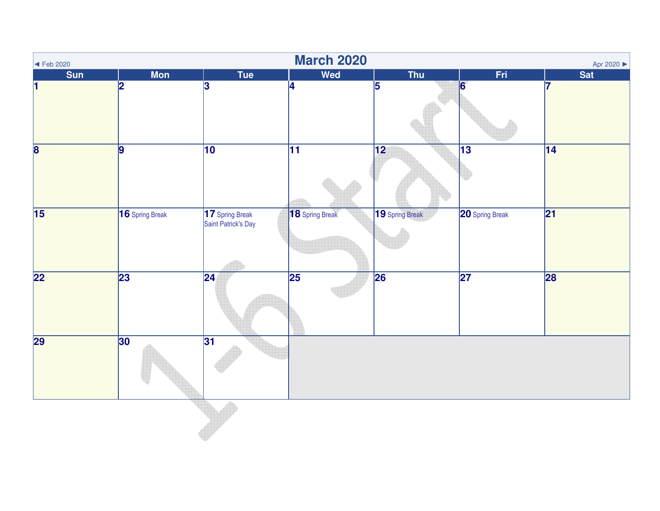| $\blacktriangleleft$ Feb 2020 |                 |                                        | <b>March 2020</b> |                 |                 | Apr 2020        |
|-------------------------------|-----------------|----------------------------------------|-------------------|-----------------|-----------------|-----------------|
| <b>Sun</b>                    | <b>Mon</b>      | <b>Tue</b>                             | Wed               | <b>Thu</b>      | Fri             | <b>Sat</b>      |
| н                             | $\overline{2}$  | 3                                      | $\overline{4}$    | $\overline{5}$  | 6               | 17              |
| $\overline{\mathbf{8}}$       | $\overline{9}$  | $\overline{10}$                        | $\overline{11}$   | $\overline{12}$ | $\overline{13}$ | $\overline{14}$ |
| $\overline{15}$               | 16 Spring Break | 17 Spring Break<br>Saint Patrick's Day | 18 Spring Break   | 19 Spring Break | 20 Spring Break | $\overline{21}$ |
| $\overline{22}$               | 23              | $\overline{24}$                        | $\overline{25}$   | 26              | $\overline{27}$ | 28              |
| 29                            | 30              | 31                                     |                   |                 |                 |                 |
|                               |                 |                                        |                   |                 |                 |                 |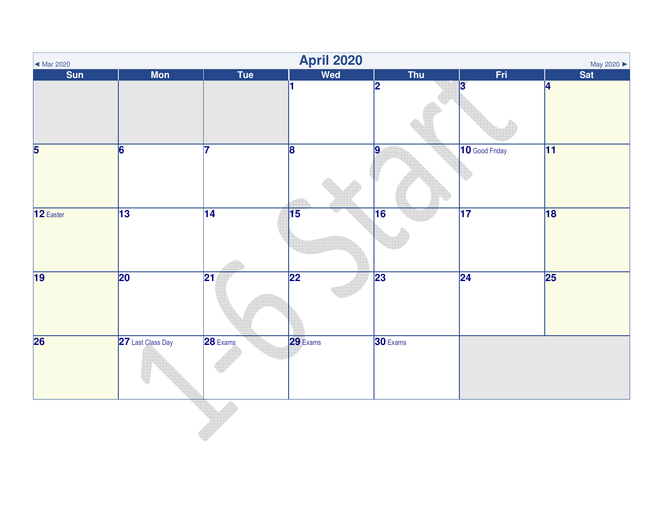| Mar 2020                |                   |                 | <b>April 2020</b> |            |                 | May 2020        |
|-------------------------|-------------------|-----------------|-------------------|------------|-----------------|-----------------|
| <b>Sun</b>              | <b>Mon</b>        | Tue             | <b>Wed</b>        | <b>Thu</b> | Fri.            | <b>Sat</b>      |
|                         |                   |                 | l1.               | 2          | 13              | 4               |
| $\overline{\mathbf{5}}$ | 6                 | 17              | $\overline{8}$    | 9          | 10 Good Friday  | $\overline{11}$ |
| 12 Easter               | $\overline{13}$   | $\overline{14}$ | $\overline{15}$   | 16         | $\overline{17}$ | 18              |
| $\overline{19}$         | 20                | $\overline{21}$ | 22                | 23         | $\overline{24}$ | 25              |
| $\overline{26}$         | 27 Last Class Day | 28 Exams        | 29 Exams          | 30 Exams   |                 |                 |
|                         |                   |                 |                   |            |                 |                 |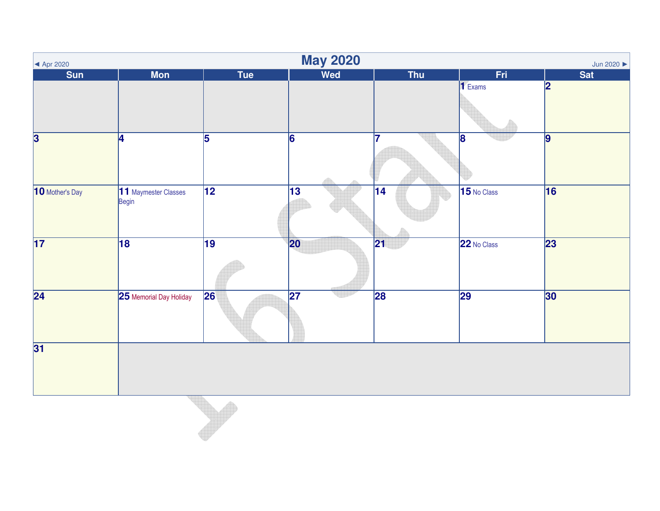| $\blacktriangleleft$ Apr 2020      |                               |                 | <b>May 2020</b> |                 |                 | Jun 2020 $\blacktriangleright$ |
|------------------------------------|-------------------------------|-----------------|-----------------|-----------------|-----------------|--------------------------------|
| <b>Sun</b>                         | <b>Mon</b>                    | <b>Tue</b>      | <b>Wed</b>      | <b>Thu</b>      | Fri             | <b>Sat</b>                     |
|                                    |                               |                 |                 |                 | $\vert$ 1 Exams | $\overline{\mathbf{2}}$        |
| $\overline{\overline{\mathbf{3}}}$ | $\overline{4}$                | $\overline{5}$  | 6               | 7               | $\overline{8}$  | $\boldsymbol{9}$               |
| 10 Mother's Day                    | 11 Maymester Classes<br>Begin | $\overline{12}$ | 13              | 14              | 15 No Class     | 16                             |
| $\overline{17}$                    | 18                            | $\overline{19}$ | 20              | $\overline{21}$ | 22 No Class     | 23                             |
| $\overline{24}$                    | 25 Memorial Day Holiday       | 26              | $\overline{27}$ | 28              | 29              | 30                             |
| $\overline{31}$                    |                               |                 |                 |                 |                 |                                |
|                                    |                               |                 |                 |                 |                 |                                |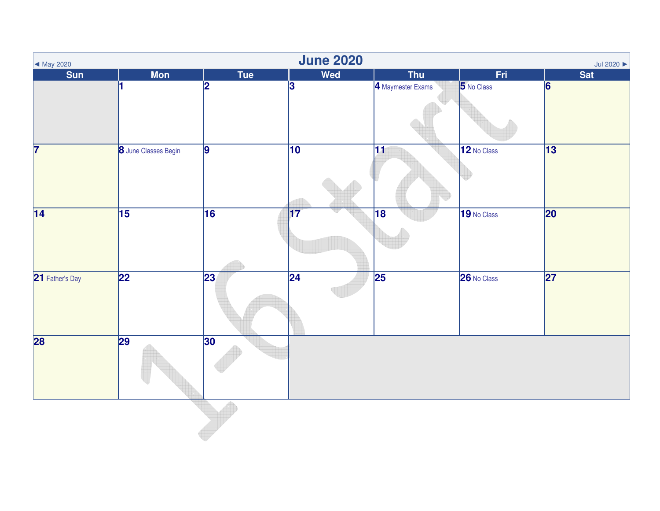| $\blacktriangleleft$ May 2020 |                      |                 | <b>June 2020</b> |                   |             | Jul 2020 $\blacktriangleright$ |
|-------------------------------|----------------------|-----------------|------------------|-------------------|-------------|--------------------------------|
| <b>Sun</b>                    | <b>Mon</b>           | Tue             | Wed              | <b>Thu</b>        | Fri.        | <b>Sat</b>                     |
|                               |                      | 2               | $\overline{3}$   | 4 Maymester Exams | 5 No Class  | 6                              |
| $\overline{\mathbf{7}}$       | 8 June Classes Begin | $\vert$ 9       | $\overline{10}$  | $\overline{11}$   | 12 No Class | $\overline{13}$                |
| $\overline{14}$               | 15                   | $\overline{16}$ | $\overline{17}$  | $\overline{18}$   | 19 No Class | $\overline{20}$                |
| 21 Father's Day               | $\overline{22}$      | 23              | $\overline{24}$  | $\overline{25}$   | 26 No Class | $\overline{27}$                |
| 28                            | 29                   | 30              |                  |                   |             |                                |
|                               |                      |                 |                  |                   |             |                                |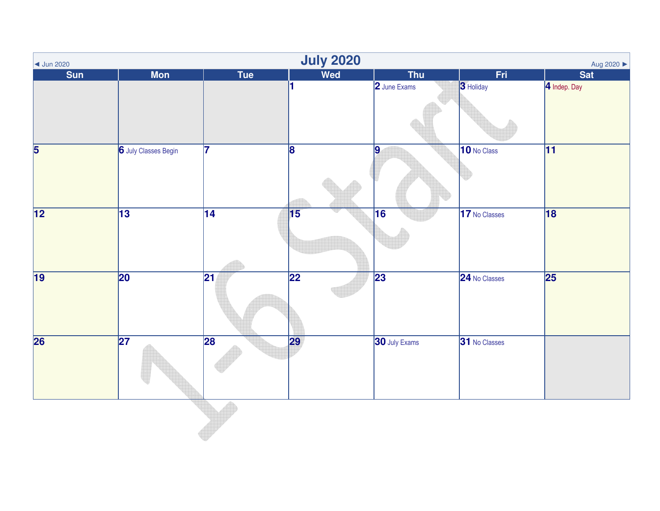| $\vert$ Jun 2020         |                      |                 | <b>July 2020</b> |                      |               | Aug 2020 ▶      |
|--------------------------|----------------------|-----------------|------------------|----------------------|---------------|-----------------|
| <b>Sun</b>               | <b>Mon</b>           | Tue             | Wed              | <b>Thu</b>           | Fri           | <b>Sat</b>      |
|                          |                      |                 | h.               | 2 June Exams         | 3 Holiday     | 4 Indep. Day    |
| $\overline{\mathbf{5}}$  | 6 July Classes Begin | 17              | $\overline{8}$   | 9                    | 10 No Class   | $\overline{11}$ |
| $\overline{12}$          | $\overline{13}$      | $\overline{14}$ | $\overline{15}$  | $\overline{16}$      | 17 No Classes | $\overline{18}$ |
| 19                       | $\overline{20}$      | $ 21\rangle$    | $\overline{22}$  | 23                   | 24 No Classes | $\overline{25}$ |
| $\overline{\mathbf{26}}$ | $\overline{27}$      | $\overline{28}$ | 29               | <b>30</b> July Exams | 31 No Classes |                 |
|                          |                      |                 |                  |                      |               |                 |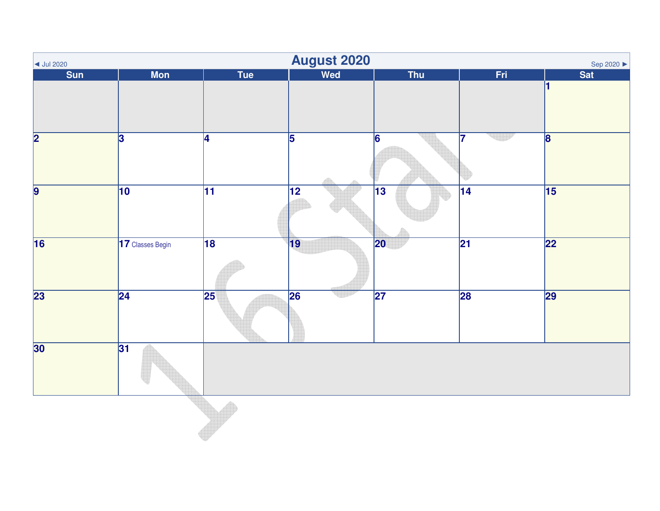| $\vert$ Jul 2020        |                         |                 | <b>August 2020</b> |                 |                 | Sep 2020 ▶      |
|-------------------------|-------------------------|-----------------|--------------------|-----------------|-----------------|-----------------|
| <b>Sun</b>              | <b>Mon</b>              | Tue             | Wed                | <b>Thu</b>      | Fri             | <b>Sat</b>      |
|                         |                         |                 |                    |                 |                 | И               |
| $\overline{\mathbf{2}}$ | $\overline{\mathbf{3}}$ | $\overline{4}$  | $\overline{5}$     | $\overline{6}$  | 17              | $\overline{8}$  |
|                         |                         |                 |                    |                 |                 |                 |
| $\overline{9}$          | 10                      | $\overline{11}$ | $\overline{12}$    | $\overline{13}$ | $\overline{14}$ | $\overline{15}$ |
| $\overline{16}$         | 17 Classes Begin        | $\overline{18}$ | 19                 | $ 20\rangle$    | $\overline{21}$ | $\overline{22}$ |
| $\overline{23}$         | $\overline{24}$         | $\overline{25}$ | 26                 | $\overline{27}$ | 28              | 29              |
| 30                      | 31                      |                 |                    |                 |                 |                 |
|                         |                         |                 |                    |                 |                 |                 |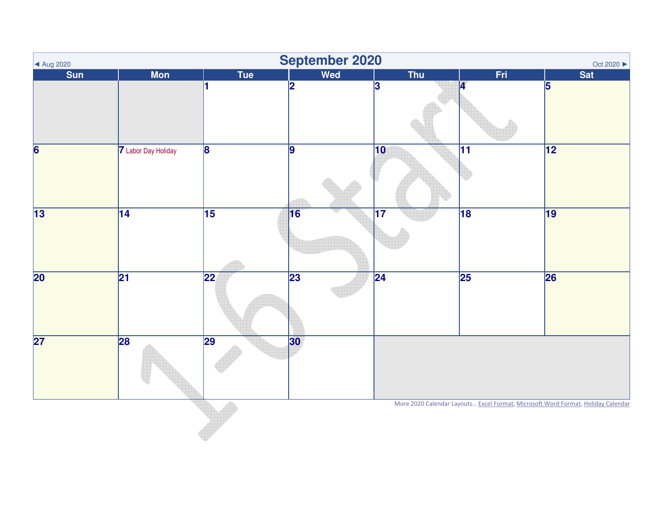| ▲ Aug 2020      |                     |                 | September 2020 |                 |                 | Oct 2020 ▶                                                                       |
|-----------------|---------------------|-----------------|----------------|-----------------|-----------------|----------------------------------------------------------------------------------|
| <b>Sun</b>      | <b>Mon</b>          | Tue             | Wed            | Thu             | Fri             | <b>Sat</b>                                                                       |
|                 |                     |                 | 2              | $\mathbf{3}$    | И               | 5                                                                                |
| 6               | 7 Labor Day Holiday | $\overline{8}$  | 9              | $ 10\rangle$    | $\overline{11}$ | 12                                                                               |
| 13              | $\overline{14}$     | $\overline{15}$ | 16             | $\overline{17}$ | $\overline{18}$ | 19                                                                               |
| $\overline{20}$ | $\overline{21}$     | $\overline{22}$ | 23             | $\overline{24}$ | 25              | 26                                                                               |
| $\overline{27}$ | 28                  | 29              | 30             |                 |                 |                                                                                  |
|                 |                     |                 |                |                 |                 | More 2020 Calendar Layouts Excel Format, Microsoft Word Format, Holiday Calendar |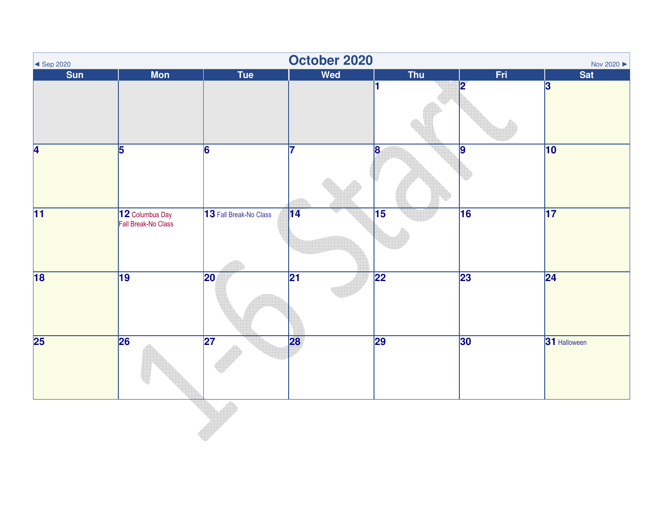| $\leq$ Sep 2020           |                                        |                        | October 2020    |                         |                | Nov 2020         |
|---------------------------|----------------------------------------|------------------------|-----------------|-------------------------|----------------|------------------|
| $S$ un                    | <b>Mon</b>                             | Tue                    | <b>Wed</b>      | <b>Thu</b>              | Fri            | <b>Sat</b>       |
|                           |                                        |                        |                 |                         | פו             | $\boldsymbol{3}$ |
| $\overline{\overline{4}}$ | 5                                      | $\overline{6}$         | 17              | $\overline{\mathbf{8}}$ | $\overline{9}$ | $\overline{10}$  |
| $\overline{11}$           | 12 Columbus Day<br>Fall Break-No Class | 13 Fall Break-No Class | 14              | $\overline{15}$         | 16             | 17               |
| $\overline{18}$           | $ 19\rangle$                           | $ 20\rangle$           | $\overline{21}$ | 22                      | 23             | $\overline{24}$  |
| $\overline{25}$           | 26                                     | $\overline{27}$        | 28              | $\overline{29}$         | 30             | 31 Halloween     |
|                           |                                        |                        |                 |                         |                |                  |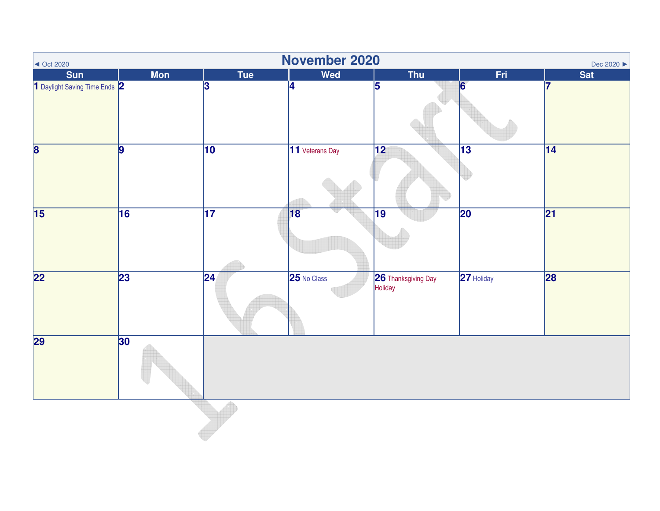| $\sim$ Oct 2020               |            |                 | November 2020   |                                |                 | Dec 2020 ▶      |
|-------------------------------|------------|-----------------|-----------------|--------------------------------|-----------------|-----------------|
| <b>Sun</b>                    | <b>Mon</b> | <b>Tue</b>      | Wed             | <b>Thu</b>                     | Fri             | <b>Sat</b>      |
| 1 Daylight Saving Time Ends 2 |            | 13              | $\overline{4}$  | $\overline{5}$                 | 6               | 7               |
| $\overline{\mathbf{8}}$       | 9          | 10              | 11 Veterans Day | $\overline{12}$                | $\overline{13}$ | 14              |
| $\overline{15}$               | 16         | $\overline{17}$ | $\overline{18}$ | $\overline{19}$                | $\overline{20}$ | $\overline{21}$ |
| $\overline{22}$               | 23         | $\overline{24}$ | 25 No Class     | 26 Thanksgiving Day<br>Holiday | 27 Holiday      | 28              |
| 29                            | 30         |                 |                 |                                |                 |                 |
|                               |            |                 |                 |                                |                 |                 |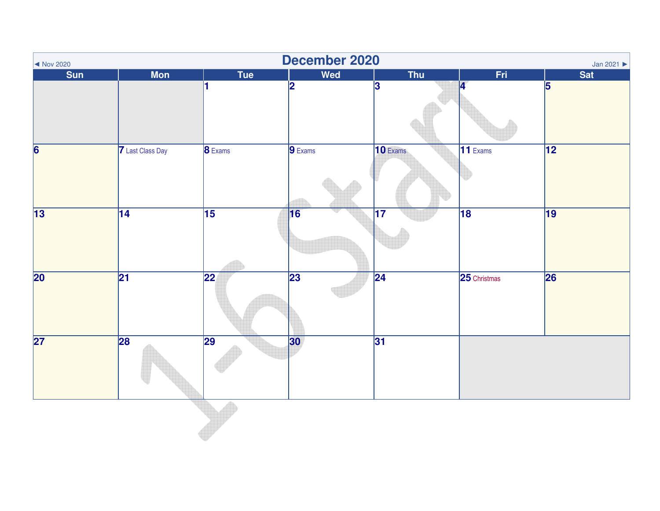| December 2020<br>Jan 2021<br>$\sim$ Nov 2020 |                         |                 |                         |                 |                 |                 |  |  |
|----------------------------------------------|-------------------------|-----------------|-------------------------|-----------------|-----------------|-----------------|--|--|
| <b>Sun</b>                                   | <b>Mon</b>              | Tue             | Wed                     | <b>Thu</b>      | Fri             | <b>Sat</b>      |  |  |
|                                              |                         | н               | $\overline{\mathbf{2}}$ | 3               | Ø               | 5               |  |  |
| $\overline{\mathbf{6}}$                      | <b>7</b> Last Class Day | <b>8</b> Exams  | $9$ Exams               | 10 Exams        | $11$ Exams      | $\overline{12}$ |  |  |
| $\overline{13}$                              | $\overline{14}$         | $\overline{15}$ | 16                      | $\overline{17}$ | $\overline{18}$ | $\overline{19}$ |  |  |
| $\overline{20}$                              | $\overline{21}$         | $ 22\rangle$    | $\overline{23}$         | $\overline{24}$ | 25 Christmas    | 26              |  |  |
| $\overline{27}$                              | 28                      | $\overline{29}$ | 30                      | 31              |                 |                 |  |  |
|                                              |                         |                 |                         |                 |                 |                 |  |  |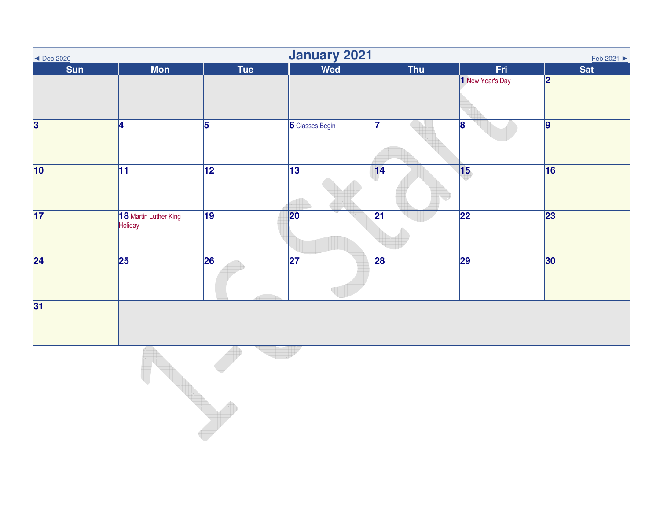| <b>January 2021</b><br><u>Feb 2021 ▶</u><br>◀ Dec 2020 |                                  |                 |                        |                 |                  |                |  |
|--------------------------------------------------------|----------------------------------|-----------------|------------------------|-----------------|------------------|----------------|--|
| Sun                                                    | <b>Mon</b>                       | <b>Tue</b>      | Wed                    | Thu             | Fri              | <b>Sat</b>     |  |
|                                                        |                                  |                 |                        |                 | 1 New Year's Day | 12             |  |
| $\overline{\mathbf{3}}$                                | 14                               | 5               | <b>6</b> Classes Begin | 7               | 8                | $\overline{9}$ |  |
| 10                                                     | 11                               | $\overline{12}$ | $\overline{13}$        | 14              | $\sqrt{15}$      | 16             |  |
| $\overline{17}$                                        | 18 Martin Luther King<br>Holiday | $\overline{19}$ | 20                     | $\overline{21}$ | $\overline{22}$  | 23             |  |
| $\overline{24}$                                        | 25                               | $\overline{26}$ | $\overline{27}$        | 28              | 29               | 30             |  |
| 31                                                     |                                  |                 |                        |                 |                  |                |  |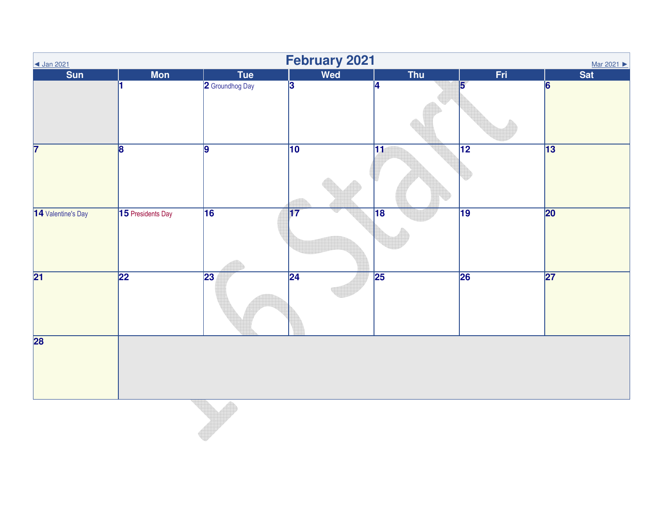| February 2021<br>◀ Jan 2021<br>Mar 2021 |                   |                 |                 |                 |                 |                 |  |  |
|-----------------------------------------|-------------------|-----------------|-----------------|-----------------|-----------------|-----------------|--|--|
| Sun                                     | <b>Mon</b>        | <b>Tue</b>      | Wed             | Thu             | Fri             | Sat             |  |  |
|                                         |                   | 2 Groundhog Day | $\overline{3}$  | 14              | 5               | 6               |  |  |
| 7                                       | $\overline{8}$    | $\overline{9}$  | 10              | $\overline{11}$ | $\overline{12}$ | $\overline{13}$ |  |  |
| 14 Valentine's Day                      | 15 Presidents Day | 16              | $\overline{17}$ | 18              | $\overline{19}$ | 20              |  |  |
| $\overline{21}$                         | $\overline{22}$   | $\overline{23}$ | $\overline{24}$ | $\overline{25}$ | 26              | $\overline{27}$ |  |  |
| $\overline{28}$                         |                   |                 |                 |                 |                 |                 |  |  |
|                                         |                   |                 |                 |                 |                 |                 |  |  |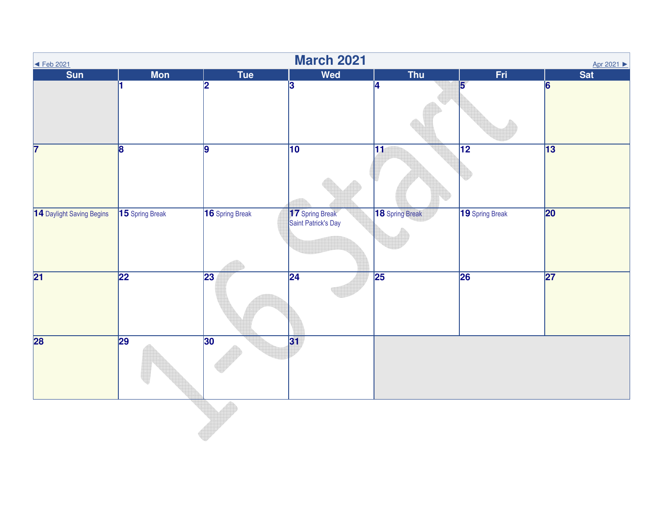| $\overline{\text{+}$ Feb 2021 |                 |                 | <b>March 2021</b>                      |                 |                 | Apr 2021 ▶      |
|-------------------------------|-----------------|-----------------|----------------------------------------|-----------------|-----------------|-----------------|
| <b>Sun</b>                    | <b>Mon</b>      | Tue             | <b>Wed</b>                             | <b>Thu</b>      | Fri             | Sat             |
|                               | l1.             | 2               | $\overline{3}$                         | 4               | 5               | $\vert 6 \vert$ |
| $\overline{7}$                | $\overline{8}$  | 9               | $\overline{10}$                        | $\overline{11}$ | $\overline{12}$ | $\overline{13}$ |
| 14 Daylight Saving Begins     | 15 Spring Break | 16 Spring Break | 17 Spring Break<br>Saint Patrick's Day | 18 Spring Break | 19 Spring Break | 20              |
| $\overline{21}$               | 22              | $\overline{23}$ | 24                                     | $\overline{25}$ | 26              | $\overline{27}$ |
| 28                            | 29              | 30              | 31                                     |                 |                 |                 |
|                               |                 |                 |                                        |                 |                 |                 |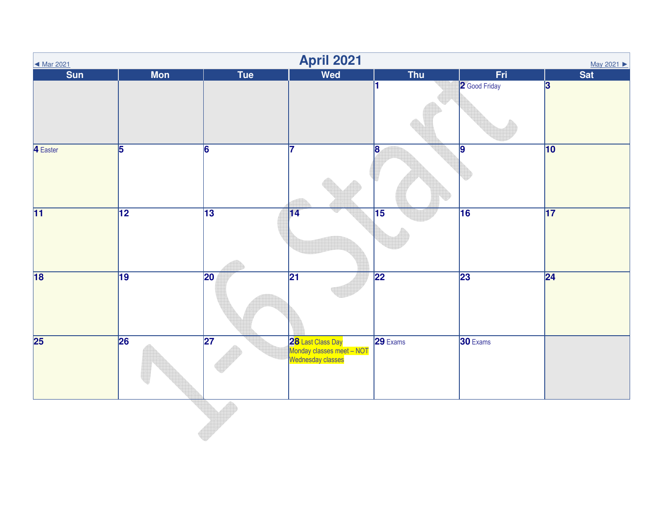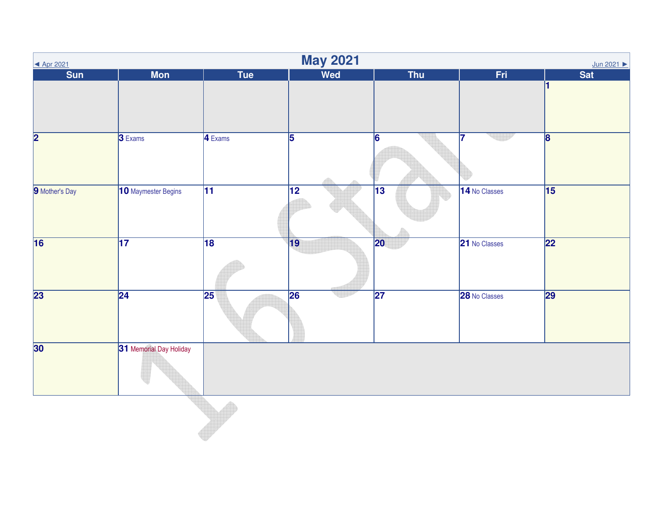| <b>May 2021</b><br>Jun 2021<br>▲ Apr 2021 |                         |                      |                 |                 |               |                         |  |  |
|-------------------------------------------|-------------------------|----------------------|-----------------|-----------------|---------------|-------------------------|--|--|
| $S$ un                                    | <b>Mon</b>              | <b>Tue</b>           | <b>Wed</b>      | Thu             | Fri           | <b>Sat</b>              |  |  |
|                                           |                         |                      |                 |                 |               |                         |  |  |
| $\overline{\mathbf{2}}$                   | 3 Exams                 | $\overline{4}$ Exams | $\overline{5}$  | 6               | 17            | $\overline{\mathbf{8}}$ |  |  |
| 9 Mother's Day                            | 10 Maymester Begins     | $\overline{11}$      | $\overline{12}$ | $\overline{13}$ | 14 No Classes | $\overline{15}$         |  |  |
| $\overline{16}$                           | $\overline{17}$         | $\overline{18}$      | 19              | $ 20\rangle$    | 21 No Classes | $\overline{22}$         |  |  |
| $\overline{23}$                           | $\overline{24}$         | $\overline{25}$      | 26              | $\overline{27}$ | 28 No Classes | 29                      |  |  |
| 30                                        | 31 Memorial Day Holiday |                      |                 |                 |               |                         |  |  |
|                                           |                         |                      |                 |                 |               |                         |  |  |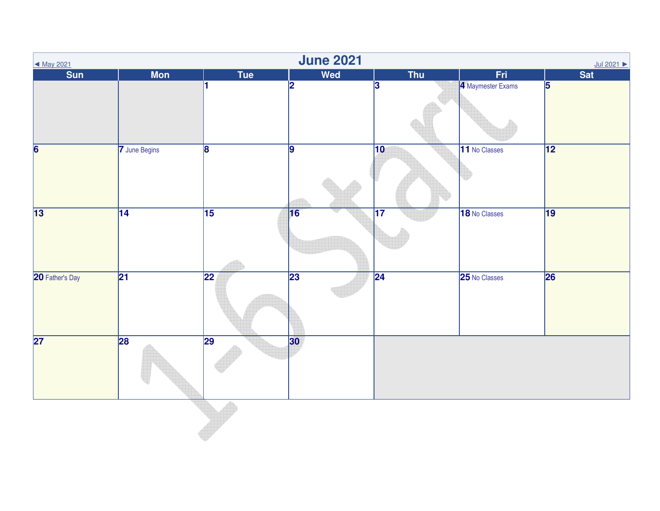| ◀ May 2021              |                 |                 | <b>June 2021</b> |                 |                   | Jul 2021                |
|-------------------------|-----------------|-----------------|------------------|-----------------|-------------------|-------------------------|
| $S$ un                  | <b>Mon</b>      | <b>Tue</b>      | Wed              | <b>Thu</b>      | Fri               | Sat                     |
|                         |                 |                 | $\overline{2}$   | $\vert$ 3       | 4 Maymester Exams | $\overline{\mathbf{5}}$ |
| $\overline{\mathbf{6}}$ | 7 June Begins   | $\overline{8}$  | $\overline{9}$   | $ 10\rangle$    | 11 No Classes     | $\overline{12}$         |
| $\overline{13}$         | $\overline{14}$ | 15              | 16               | $\overline{17}$ | 18 No Classes     | 19                      |
| 20 Father's Day         | $\overline{21}$ | $\overline{22}$ | $\overline{23}$  | $\overline{24}$ | 25 No Classes     | 26                      |
| $\overline{27}$         | 28              | 29              | 30               |                 |                   |                         |
|                         |                 |                 |                  |                 |                   |                         |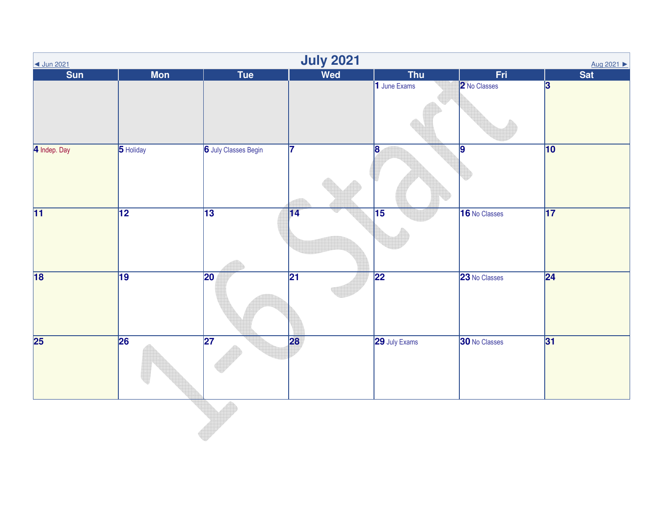| ◀ Jun 2021      |            |                             | <b>July 2021</b> |                 |                | Aug 2021 ▶       |
|-----------------|------------|-----------------------------|------------------|-----------------|----------------|------------------|
| $S$ un          | <b>Mon</b> | <b>Tue</b>                  | <b>Wed</b>       | <b>Thu</b>      | Fri.           | <b>Sat</b>       |
|                 |            |                             |                  | 1 June Exams    | 2 No Classes   | $\boldsymbol{3}$ |
| 4 Indep. Day    | 5 Holiday  | <b>6</b> July Classes Begin | 17               | 8               | $\overline{9}$ | $ 10\rangle$     |
| $\overline{11}$ | 12         | $\overline{13}$             | 14               | $\overline{15}$ | 16 No Classes  | $\overline{17}$  |
| $\overline{18}$ | 19         | $ 20\rangle$                | $\overline{21}$  | $\overline{22}$ | 23 No Classes  | $\overline{24}$  |
| $\overline{25}$ | 26         | $\overline{27}$             | 28               | 29 July Exams   | 30 No Classes  | 31               |
|                 |            |                             |                  |                 |                |                  |